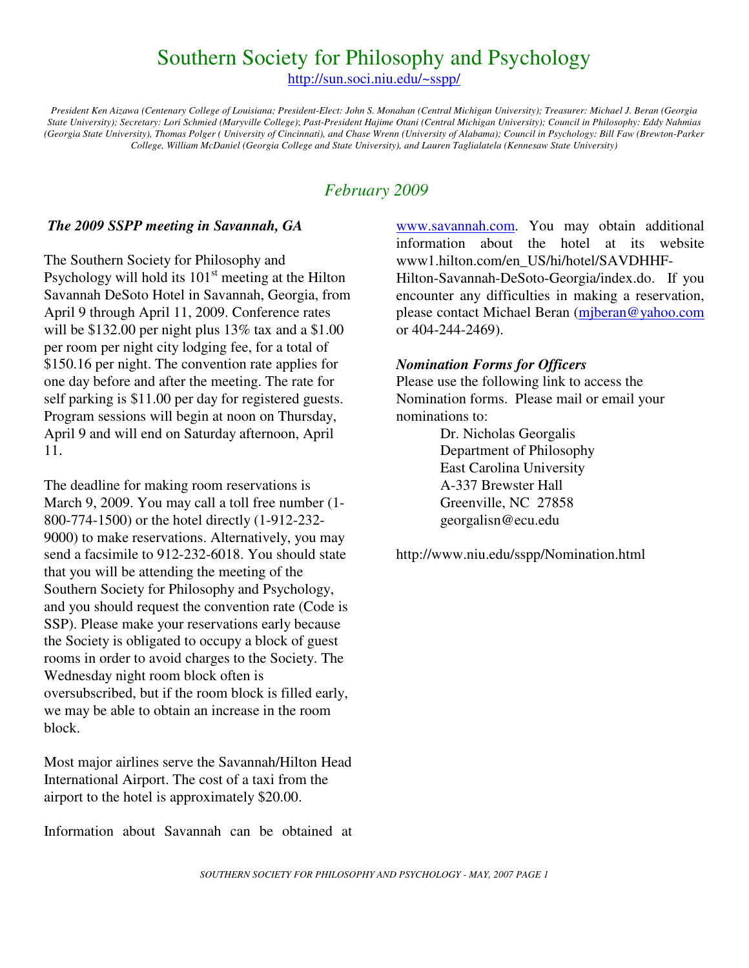## Southern Society for Philosophy and Psychology

http://sun.soci.niu.edu/~sspp/

*President Ken Aizawa (Centenary College of Louisiana; President-Elect: John S. Monahan (Central Michigan University); Treasurer: Michael J. Beran (Georgia State University); Secretary: Lori Schmied (Maryville College)*; *Past-President Hajime Otani (Central Michigan University); Council in Philosophy: Eddy Nahmias (Georgia State University), Thomas Polger ( University of Cincinnati), and Chase Wrenn (University of Alabama); Council in Psychology: Bill Faw (Brewton-Parker College, William McDaniel (Georgia College and State University), and Lauren Taglialatela (Kennesaw State University)* 

### *February 2009*

#### *The 2009 SSPP meeting in Savannah, GA*

The Southern Society for Philosophy and Psychology will hold its  $101<sup>st</sup>$  meeting at the Hilton Savannah DeSoto Hotel in Savannah, Georgia, from April 9 through April 11, 2009. Conference rates will be \$132.00 per night plus 13% tax and a \$1.00 per room per night city lodging fee, for a total of \$150.16 per night. The convention rate applies for one day before and after the meeting. The rate for self parking is \$11.00 per day for registered guests. Program sessions will begin at noon on Thursday, April 9 and will end on Saturday afternoon, April 11.

The deadline for making room reservations is March 9, 2009. You may call a toll free number (1- 800-774-1500) or the hotel directly (1-912-232- 9000) to make reservations. Alternatively, you may send a facsimile to 912-232-6018. You should state that you will be attending the meeting of the Southern Society for Philosophy and Psychology, and you should request the convention rate (Code is SSP). Please make your reservations early because the Society is obligated to occupy a block of guest rooms in order to avoid charges to the Society. The Wednesday night room block often is oversubscribed, but if the room block is filled early, we may be able to obtain an increase in the room block.

Most major airlines serve the Savannah/Hilton Head International Airport. The cost of a taxi from the airport to the hotel is approximately \$20.00.

Information about Savannah can be obtained at

www.savannah.com. You may obtain additional information about the hotel at its website www1.hilton.com/en\_US/hi/hotel/SAVDHHF-Hilton-Savannah-DeSoto-Georgia/index.do. If you encounter any difficulties in making a reservation, please contact Michael Beran (mjberan@yahoo.com or 404-244-2469).

#### *Nomination Forms for Officers*

Please use the following link to access the Nomination forms. Please mail or email your nominations to:

> Dr. Nicholas Georgalis Department of Philosophy East Carolina University A-337 Brewster Hall Greenville, NC 27858 georgalisn@ecu.edu

http://www.niu.edu/sspp/Nomination.html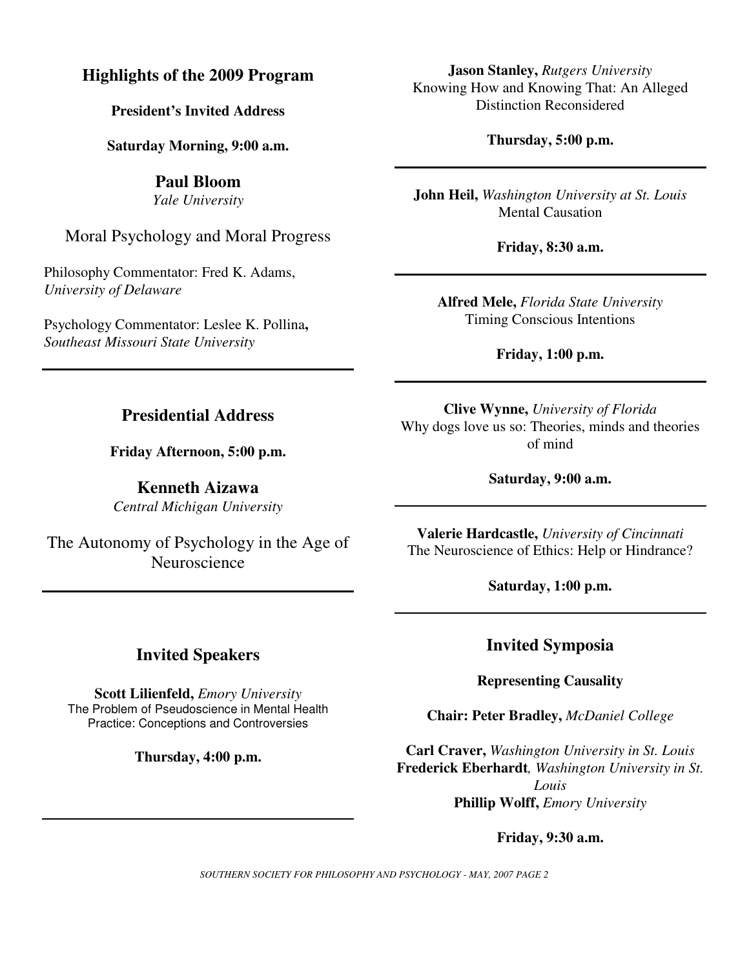### **Highlights of the 2009 Program**

**President's Invited Address**

**Saturday Morning, 9:00 a.m.** 

**Paul Bloom**  *Yale University* 

Moral Psychology and Moral Progress

Philosophy Commentator: Fred K. Adams, *University of Delaware* 

Psychology Commentator: Leslee K. Pollina**,**  *Southeast Missouri State University* 

**Jason Stanley,** *Rutgers University*  Knowing How and Knowing That: An Alleged Distinction Reconsidered

**Thursday, 5:00 p.m.** 

**John Heil,** *Washington University at St. Louis*  Mental Causation

**Friday, 8:30 a.m.** 

**Alfred Mele,** *Florida State University* Timing Conscious Intentions

**Friday, 1:00 p.m.** 

#### **Clive Wynne,** *University of Florida*  Why dogs love us so: Theories, minds and theories of mind

**Saturday, 9:00 a.m.** 

**Valerie Hardcastle,** *University of Cincinnati* The Neuroscience of Ethics: Help or Hindrance?

**Saturday, 1:00 p.m.** 

### **Invited Speakers**

**Scott Lilienfeld,** *Emory University*  The Problem of Pseudoscience in Mental Health Practice: Conceptions and Controversies

**Thursday, 4:00 p.m.** 

**Invited Symposia** 

**Representing Causality** 

**Chair: Peter Bradley,** *McDaniel College* 

**Carl Craver,** *Washington University in St. Louis*  **Frederick Eberhardt***, Washington University in St. Louis*  **Phillip Wolff,** *Emory University* 

**Friday, 9:30 a.m.** 

*SOUTHERN SOCIETY FOR PHILOSOPHY AND PSYCHOLOGY - MAY, 2007 PAGE 2* 

### **Presidential Address**

**Friday Afternoon, 5:00 p.m.** 

**Kenneth Aizawa**  *Central Michigan University* 

The Autonomy of Psychology in the Age of **Neuroscience**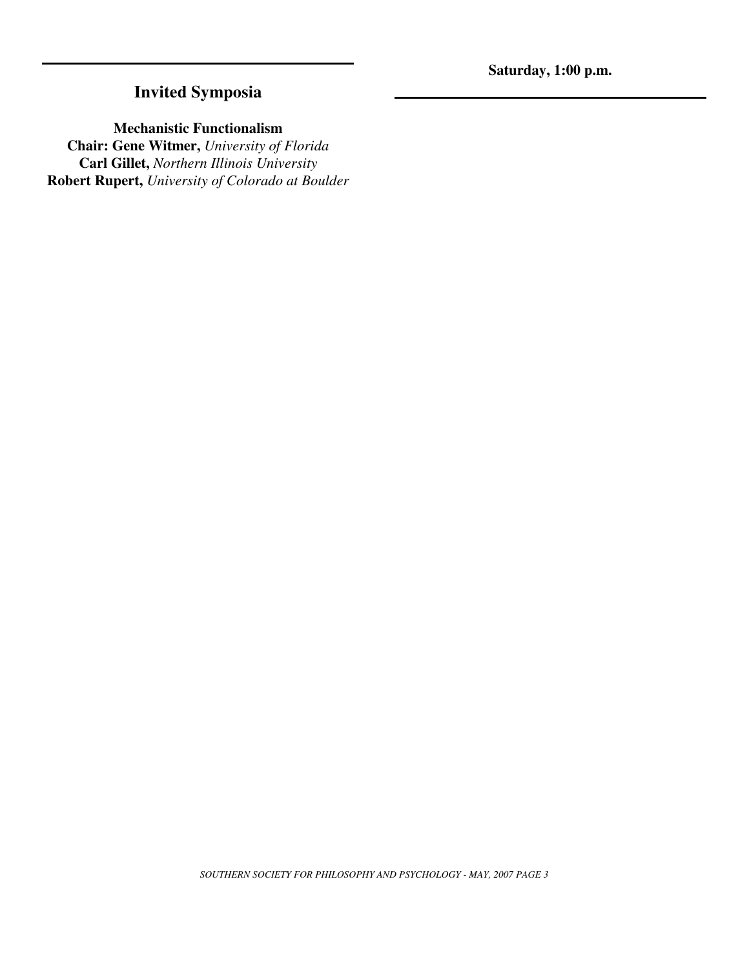## **Invited Symposia**

**Mechanistic Functionalism** 

**Chair: Gene Witmer,** *University of Florida*  **Carl Gillet,** *Northern Illinois University*  **Robert Rupert,** *University of Colorado at Boulder*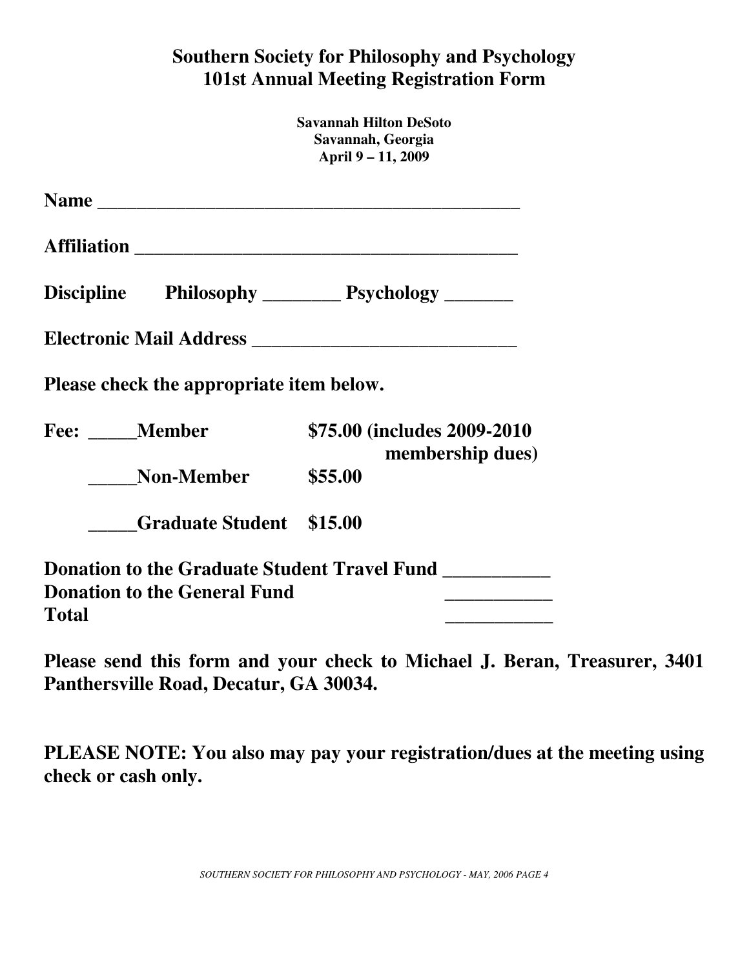# **Southern Society for Philosophy and Psychology 101st Annual Meeting Registration Form**

|       |                                          | <b>Savannah Hilton DeSoto</b><br>Savannah, Georgia<br>April 9 - 11, 2009 |
|-------|------------------------------------------|--------------------------------------------------------------------------|
|       |                                          |                                                                          |
|       |                                          |                                                                          |
|       |                                          | Discipline Philosophy _________ Psychology _______                       |
|       |                                          |                                                                          |
|       | Please check the appropriate item below. |                                                                          |
|       | <b>Fee:</b> Member                       | \$75.00 (includes 2009-2010)<br>membership dues)                         |
|       | <b>Non-Member</b>                        | \$55.00                                                                  |
|       | <b>Graduate Student \$15.00</b>          |                                                                          |
| Total | <b>Donation to the General Fund</b>      | <b>Donation to the Graduate Student Travel Fund</b>                      |

**Please send this form and your check to Michael J. Beran, Treasurer, 3401 Panthersville Road, Decatur, GA 30034.** 

**PLEASE NOTE: You also may pay your registration/dues at the meeting using check or cash only.** 

*SOUTHERN SOCIETY FOR PHILOSOPHY AND PSYCHOLOGY - MAY, 2006 PAGE 4*